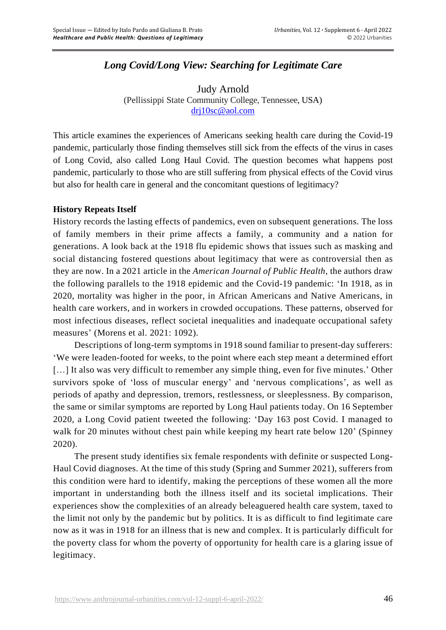# *Long Covid/Long View: Searching for Legitimate Care*

Judy Arnold (Pellissippi State Community College, Tennessee, USA) [drj10sc@aol.com](mailto:drj10sc@aol.com)

This article examines the experiences of Americans seeking health care during the Covid-19 pandemic, particularly those finding themselves still sick from the effects of the virus in cases of Long Covid, also called Long Haul Covid. The question becomes what happens post pandemic, particularly to those who are still suffering from physical effects of the Covid virus but also for health care in general and the concomitant questions of legitimacy?

### **History Repeats Itself**

History records the lasting effects of pandemics, even on subsequent generations. The loss of family members in their prime affects a family, a community and a nation for generations. A look back at the 1918 flu epidemic shows that issues such as masking and social distancing fostered questions about legitimacy that were as controversial then as they are now. In a 2021 article in the *American Journal of Public Health*, the authors draw the following parallels to the 1918 epidemic and the Covid-19 pandemic: 'In 1918, as in 2020, mortality was higher in the poor, in African Americans and Native Americans, in health care workers, and in workers in crowded occupations. These patterns, observed for most infectious diseases, reflect societal inequalities and inadequate occupational safety measures' (Morens et al. 2021: 1092).

Descriptions of long-term symptoms in 1918 sound familiar to present-day sufferers: 'We were leaden-footed for weeks, to the point where each step meant a determined effort [...] It also was very difficult to remember any simple thing, even for five minutes.' Other survivors spoke of 'loss of muscular energy' and 'nervous complications', as well as periods of apathy and depression, tremors, restlessness, or sleeplessness. By comparison, the same or similar symptoms are reported by Long Haul patients today. On 16 September 2020, a Long Covid patient tweeted the following: 'Day 163 post Covid. I managed to walk for 20 minutes without chest pain while keeping my heart rate below 120' (Spinney 2020).

The present study identifies six female respondents with definite or suspected Long-Haul Covid diagnoses. At the time of this study (Spring and Summer 2021), sufferers from this condition were hard to identify, making the perceptions of these women all the more important in understanding both the illness itself and its societal implications. Their experiences show the complexities of an already beleaguered health care system, taxed to the limit not only by the pandemic but by politics. It is as difficult to find legitimate care now as it was in 1918 for an illness that is new and complex. It is particularly difficult for the poverty class for whom the poverty of opportunity for health care is a glaring issue of legitimacy.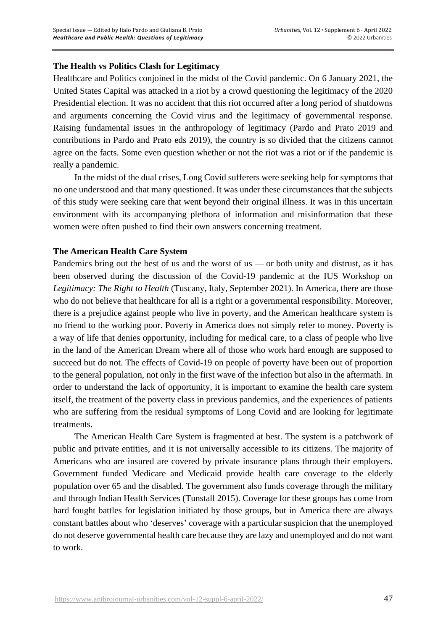## **The Health vs Politics Clash for Legitimacy**

Healthcare and Politics conjoined in the midst of the Covid pandemic. On 6 January 2021, the United States Capital was attacked in a riot by a crowd questioning the legitimacy of the 2020 Presidential election. It was no accident that this riot occurred after a long period of shutdowns and arguments concerning the Covid virus and the legitimacy of governmental response. Raising fundamental issues in the anthropology of legitimacy (Pardo and Prato 2019 and contributions in Pardo and Prato eds 2019), the country is so divided that the citizens cannot agree on the facts. Some even question whether or not the riot was a riot or if the pandemic is really a pandemic.

In the midst of the dual crises, Long Covid sufferers were seeking help for symptoms that no one understood and that many questioned. It was under these circumstances that the subjects of this study were seeking care that went beyond their original illness. It was in this uncertain environment with its accompanying plethora of information and misinformation that these women were often pushed to find their own answers concerning treatment.

### **The American Health Care System**

Pandemics bring out the best of us and the worst of us — or both unity and distrust, as it has been observed during the discussion of the Covid-19 pandemic at the IUS Workshop on *Legitimacy: The Right to Health* (Tuscany, Italy, September 2021). In America, there are those who do not believe that healthcare for all is a right or a governmental responsibility. Moreover, there is a prejudice against people who live in poverty, and the American healthcare system is no friend to the working poor. Poverty in America does not simply refer to money. Poverty is a way of life that denies opportunity, including for medical care, to a class of people who live in the land of the American Dream where all of those who work hard enough are supposed to succeed but do not. The effects of Covid-19 on people of poverty have been out of proportion to the general population, not only in the first wave of the infection but also in the aftermath. In order to understand the lack of opportunity, it is important to examine the health care system itself, the treatment of the poverty class in previous pandemics, and the experiences of patients who are suffering from the residual symptoms of Long Covid and are looking for legitimate treatments.

The American Health Care System is fragmented at best. The system is a patchwork of public and private entities, and it is not universally accessible to its citizens. The majority of Americans who are insured are covered by private insurance plans through their employers. Government funded Medicare and Medicaid provide health care coverage to the elderly population over 65 and the disabled. The government also funds coverage through the military and through Indian Health Services (Tunstall 2015). Coverage for these groups has come from hard fought battles for legislation initiated by those groups, but in America there are always constant battles about who 'deserves' coverage with a particular suspicion that the unemployed do not deserve governmental health care because they are lazy and unemployed and do not want to work.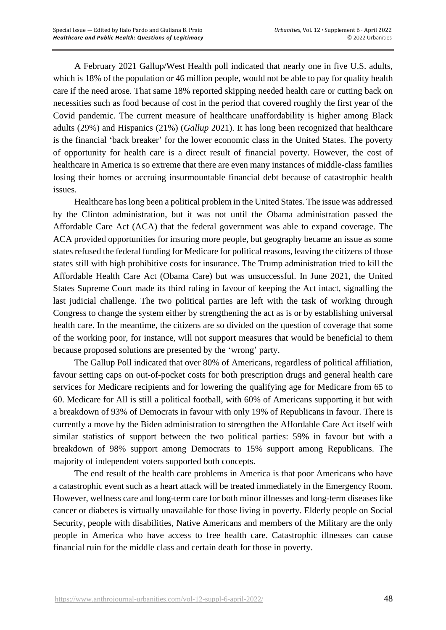A February 2021 Gallup/West Health poll indicated that nearly one in five U.S. adults, which is 18% of the population or 46 million people, would not be able to pay for quality health care if the need arose. That same 18% reported skipping needed health care or cutting back on necessities such as food because of cost in the period that covered roughly the first year of the Covid pandemic. The current measure of healthcare unaffordability is higher among Black adults (29%) and Hispanics (21%) (*Gallup* 2021). It has long been recognized that healthcare is the financial 'back breaker' for the lower economic class in the United States. The poverty of opportunity for health care is a direct result of financial poverty. However, the cost of healthcare in America is so extreme that there are even many instances of middle-class families losing their homes or accruing insurmountable financial debt because of catastrophic health issues.

Healthcare haslong been a political problem in the United States. The issue was addressed by the Clinton administration, but it was not until the Obama administration passed the Affordable Care Act (ACA) that the federal government was able to expand coverage. The ACA provided opportunities for insuring more people, but geography became an issue as some states refused the federal funding for Medicare for political reasons, leaving the citizens of those states still with high prohibitive costs for insurance. The Trump administration tried to kill the Affordable Health Care Act (Obama Care) but was unsuccessful. In June 2021, the United States Supreme Court made its third ruling in favour of keeping the Act intact, signalling the last judicial challenge. The two political parties are left with the task of working through Congress to change the system either by strengthening the act as is or by establishing universal health care. In the meantime, the citizens are so divided on the question of coverage that some of the working poor, for instance, will not support measures that would be beneficial to them because proposed solutions are presented by the 'wrong' party.

The Gallup Poll indicated that over 80% of Americans, regardless of political affiliation, favour setting caps on out-of-pocket costs for both prescription drugs and general health care services for Medicare recipients and for lowering the qualifying age for Medicare from 65 to 60. Medicare for All is still a political football, with 60% of Americans supporting it but with a breakdown of 93% of Democrats in favour with only 19% of Republicans in favour. There is currently a move by the Biden administration to strengthen the Affordable Care Act itself with similar statistics of support between the two political parties: 59% in favour but with a breakdown of 98% support among Democrats to 15% support among Republicans. The majority of independent voters supported both concepts.

The end result of the health care problems in America is that poor Americans who have a catastrophic event such as a heart attack will be treated immediately in the Emergency Room. However, wellness care and long-term care for both minor illnesses and long-term diseases like cancer or diabetes is virtually unavailable for those living in poverty. Elderly people on Social Security, people with disabilities, Native Americans and members of the Military are the only people in America who have access to free health care. Catastrophic illnesses can cause financial ruin for the middle class and certain death for those in poverty.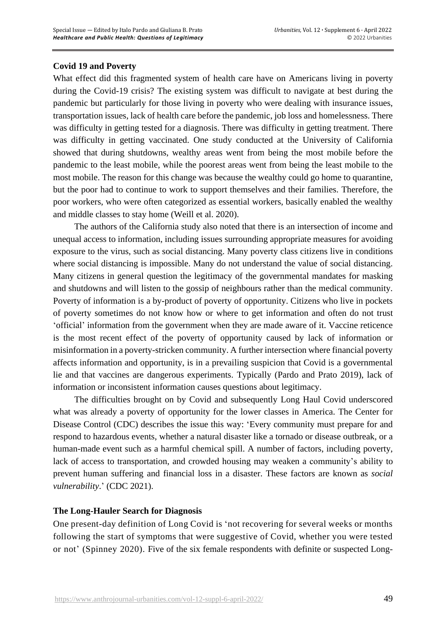### **Covid 19 and Poverty**

What effect did this fragmented system of health care have on Americans living in poverty during the Covid-19 crisis? The existing system was difficult to navigate at best during the pandemic but particularly for those living in poverty who were dealing with insurance issues, transportation issues, lack of health care before the pandemic, job loss and homelessness. There was difficulty in getting tested for a diagnosis. There was difficulty in getting treatment. There was difficulty in getting vaccinated. One study conducted at the University of California showed that during shutdowns, wealthy areas went from being the most mobile before the pandemic to the least mobile, while the poorest areas went from being the least mobile to the most mobile. The reason for this change was because the wealthy could go home to quarantine, but the poor had to continue to work to support themselves and their families. Therefore, the poor workers, who were often categorized as essential workers, basically enabled the wealthy and middle classes to stay home (Weill et al. 2020).

The authors of the California study also noted that there is an intersection of income and unequal access to information, including issues surrounding appropriate measures for avoiding exposure to the virus, such as social distancing. Many poverty class citizens live in conditions where social distancing is impossible. Many do not understand the value of social distancing. Many citizens in general question the legitimacy of the governmental mandates for masking and shutdowns and will listen to the gossip of neighbours rather than the medical community. Poverty of information is a by-product of poverty of opportunity. Citizens who live in pockets of poverty sometimes do not know how or where to get information and often do not trust 'official' information from the government when they are made aware of it. Vaccine reticence is the most recent effect of the poverty of opportunity caused by lack of information or misinformation in a poverty-stricken community. A further intersection where financial poverty affects information and opportunity, is in a prevailing suspicion that Covid is a governmental lie and that vaccines are dangerous experiments. Typically (Pardo and Prato 2019), lack of information or inconsistent information causes questions about legitimacy.

The difficulties brought on by Covid and subsequently Long Haul Covid underscored what was already a poverty of opportunity for the lower classes in America. The Center for Disease Control (CDC) describes the issue this way: 'Every community must prepare for and respond to hazardous events, whether a natural disaster like a tornado or disease outbreak, or a human-made event such as a harmful chemical spill. A number of factors, including poverty, lack of access to transportation, and crowded housing may weaken a community's ability to prevent human suffering and financial loss in a disaster. These factors are known as *social vulnerability*.' (CDC 2021).

### **The Long-Hauler Search for Diagnosis**

One present-day [definition](https://www.bmj.com/content/370/bmj.m3489) of Long Covid is 'not recovering for several weeks or months following the start of symptoms that were suggestive of Covid, whether you were tested or not' (Spinney 2020). Five of the six female respondents with definite or suspected Long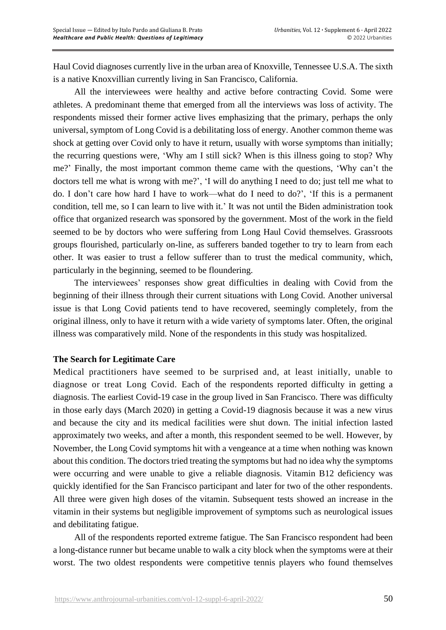Haul Covid diagnoses currently live in the urban area of Knoxville, Tennessee U.S.A. The sixth is a native Knoxvillian currently living in San Francisco, California.

All the interviewees were healthy and active before contracting Covid. Some were athletes. A predominant theme that emerged from all the interviews was loss of activity. The respondents missed their former active lives emphasizing that the primary, perhaps the only universal, symptom of Long Covid is a debilitating loss of energy. Another common theme was shock at getting over Covid only to have it return, usually with worse symptoms than initially; the recurring questions were, 'Why am I still sick? When is this illness going to stop? Why me?' Finally, the most important common theme came with the questions, 'Why can't the doctors tell me what is wrong with me?', 'I will do anything I need to do; just tell me what to do. I don't care how hard I have to work—what do I need to do?', 'If this is a permanent condition, tell me, so I can learn to live with it.' It was not until the Biden administration took office that organized research was sponsored by the government. Most of the work in the field seemed to be by doctors who were suffering from Long Haul Covid themselves. Grassroots groups flourished, particularly on-line, as sufferers banded together to try to learn from each other. It was easier to trust a fellow sufferer than to trust the medical community, which, particularly in the beginning, seemed to be floundering.

The interviewees' responses show great difficulties in dealing with Covid from the beginning of their illness through their current situations with Long Covid. Another universal issue is that Long Covid patients tend to have recovered, seemingly completely, from the original illness, only to have it return with a wide variety of symptoms later. Often, the original illness was comparatively mild. None of the respondents in this study was hospitalized.

### **The Search for Legitimate Care**

Medical practitioners have seemed to be surprised and, at least initially, unable to diagnose or treat Long Covid. Each of the respondents reported difficulty in getting a diagnosis. The earliest Covid-19 case in the group lived in San Francisco. There was difficulty in those early days (March 2020) in getting a Covid-19 diagnosis because it was a new virus and because the city and its medical facilities were shut down. The initial infection lasted approximately two weeks, and after a month, this respondent seemed to be well. However, by November, the Long Covid symptoms hit with a vengeance at a time when nothing was known about this condition. The doctors tried treating the symptoms but had no idea why the symptoms were occurring and were unable to give a reliable diagnosis. Vitamin B12 deficiency was quickly identified for the San Francisco participant and later for two of the other respondents. All three were given high doses of the vitamin. Subsequent tests showed an increase in the vitamin in their systems but negligible improvement of symptoms such as neurological issues and debilitating fatigue.

All of the respondents reported extreme fatigue. The San Francisco respondent had been a long-distance runner but became unable to walk a city block when the symptoms were at their worst. The two oldest respondents were competitive tennis players who found themselves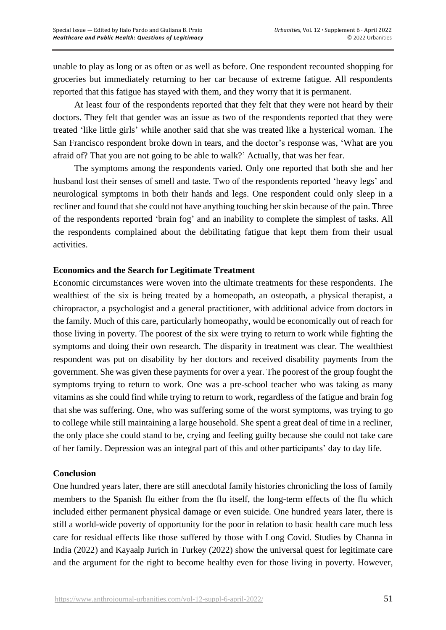unable to play as long or as often or as well as before. One respondent recounted shopping for groceries but immediately returning to her car because of extreme fatigue. All respondents reported that this fatigue has stayed with them, and they worry that it is permanent.

At least four of the respondents reported that they felt that they were not heard by their doctors. They felt that gender was an issue as two of the respondents reported that they were treated 'like little girls' while another said that she was treated like a hysterical woman. The San Francisco respondent broke down in tears, and the doctor's response was, 'What are you afraid of? That you are not going to be able to walk?' Actually, that was her fear.

The symptoms among the respondents varied. Only one reported that both she and her husband lost their senses of smell and taste. Two of the respondents reported 'heavy legs' and neurological symptoms in both their hands and legs. One respondent could only sleep in a recliner and found that she could not have anything touching her skin because of the pain. Three of the respondents reported 'brain fog' and an inability to complete the simplest of tasks. All the respondents complained about the debilitating fatigue that kept them from their usual activities.

### **Economics and the Search for Legitimate Treatment**

Economic circumstances were woven into the ultimate treatments for these respondents. The wealthiest of the six is being treated by a homeopath, an osteopath, a physical therapist, a chiropractor, a psychologist and a general practitioner, with additional advice from doctors in the family. Much of this care, particularly homeopathy, would be economically out of reach for those living in poverty. The poorest of the six were trying to return to work while fighting the symptoms and doing their own research. The disparity in treatment was clear. The wealthiest respondent was put on disability by her doctors and received disability payments from the government. She was given these payments for over a year. The poorest of the group fought the symptoms trying to return to work. One was a pre-school teacher who was taking as many vitamins as she could find while trying to return to work, regardless of the fatigue and brain fog that she was suffering. One, who was suffering some of the worst symptoms, was trying to go to college while still maintaining a large household. She spent a great deal of time in a recliner, the only place she could stand to be, crying and feeling guilty because she could not take care of her family. Depression was an integral part of this and other participants' day to day life.

### **Conclusion**

One hundred years later, there are still anecdotal family histories chronicling the loss of family members to the Spanish flu either from the flu itself, the long-term effects of the flu which included either permanent physical damage or even suicide. One hundred years later, there is still a world-wide poverty of opportunity for the poor in relation to basic health care much less care for residual effects like those suffered by those with Long Covid. Studies by Channa in India (2022) and Kayaalp Jurich in Turkey (2022) show the universal quest for legitimate care and the argument for the right to become healthy even for those living in poverty. However,